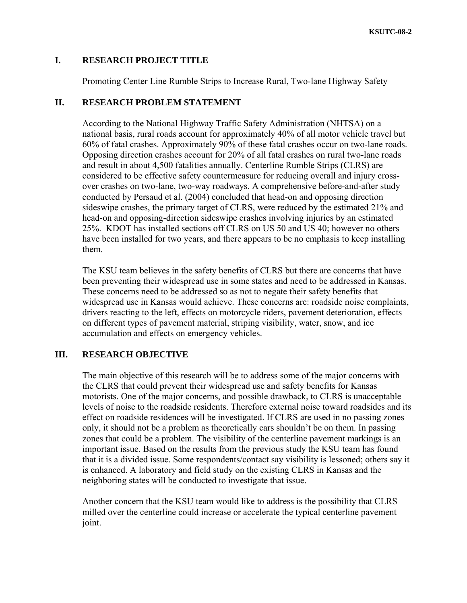### **I. RESEARCH PROJECT TITLE**

Promoting Center Line Rumble Strips to Increase Rural, Two-lane Highway Safety

### **II. RESEARCH PROBLEM STATEMENT**

According to the National Highway Traffic Safety Administration (NHTSA) on a national basis, rural roads account for approximately 40% of all motor vehicle travel but 60% of fatal crashes. Approximately 90% of these fatal crashes occur on two-lane roads. Opposing direction crashes account for 20% of all fatal crashes on rural two-lane roads and result in about 4,500 fatalities annually. Centerline Rumble Strips (CLRS) are considered to be effective safety countermeasure for reducing overall and injury crossover crashes on two-lane, two-way roadways. A comprehensive before-and-after study conducted by Persaud et al. (2004) concluded that head-on and opposing direction sideswipe crashes, the primary target of CLRS, were reduced by the estimated 21% and head-on and opposing-direction sideswipe crashes involving injuries by an estimated 25%. KDOT has installed sections off CLRS on US 50 and US 40; however no others have been installed for two years, and there appears to be no emphasis to keep installing them.

The KSU team believes in the safety benefits of CLRS but there are concerns that have been preventing their widespread use in some states and need to be addressed in Kansas. These concerns need to be addressed so as not to negate their safety benefits that widespread use in Kansas would achieve. These concerns are: roadside noise complaints, drivers reacting to the left, effects on motorcycle riders, pavement deterioration, effects on different types of pavement material, striping visibility, water, snow, and ice accumulation and effects on emergency vehicles.

# **III. RESEARCH OBJECTIVE**

The main objective of this research will be to address some of the major concerns with the CLRS that could prevent their widespread use and safety benefits for Kansas motorists. One of the major concerns, and possible drawback, to CLRS is unacceptable levels of noise to the roadside residents. Therefore external noise toward roadsides and its effect on roadside residences will be investigated. If CLRS are used in no passing zones only, it should not be a problem as theoretically cars shouldn't be on them. In passing zones that could be a problem. The visibility of the centerline pavement markings is an important issue. Based on the results from the previous study the KSU team has found that it is a divided issue. Some respondents/contact say visibility is lessoned; others say it is enhanced. A laboratory and field study on the existing CLRS in Kansas and the neighboring states will be conducted to investigate that issue.

Another concern that the KSU team would like to address is the possibility that CLRS milled over the centerline could increase or accelerate the typical centerline pavement joint.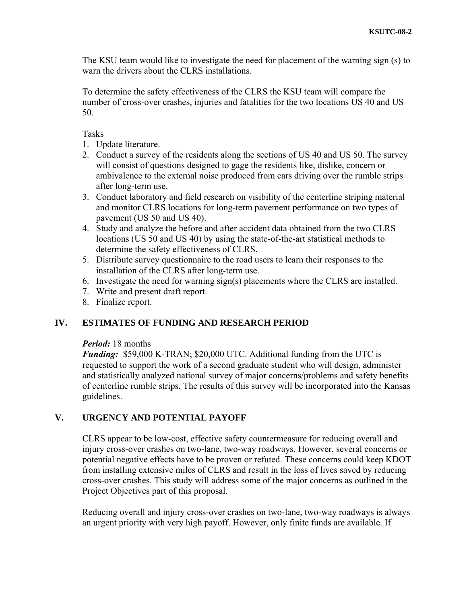The KSU team would like to investigate the need for placement of the warning sign (s) to warn the drivers about the CLRS installations.

To determine the safety effectiveness of the CLRS the KSU team will compare the number of cross-over crashes, injuries and fatalities for the two locations US 40 and US 50.

### Tasks

- 1. Update literature.
- 2. Conduct a survey of the residents along the sections of US 40 and US 50. The survey will consist of questions designed to gage the residents like, dislike, concern or ambivalence to the external noise produced from cars driving over the rumble strips after long-term use.
- 3. Conduct laboratory and field research on visibility of the centerline striping material and monitor CLRS locations for long-term pavement performance on two types of pavement (US 50 and US 40).
- 4. Study and analyze the before and after accident data obtained from the two CLRS locations (US 50 and US 40) by using the state-of-the-art statistical methods to determine the safety effectiveness of CLRS.
- 5. Distribute survey questionnaire to the road users to learn their responses to the installation of the CLRS after long-term use.
- 6. Investigate the need for warning sign(s) placements where the CLRS are installed.
- 7. Write and present draft report.
- 8. Finalize report.

# **IV. ESTIMATES OF FUNDING AND RESEARCH PERIOD**

#### *Period:* 18 months

*Funding:* \$59,000 K-TRAN; \$20,000 UTC. Additional funding from the UTC is requested to support the work of a second graduate student who will design, administer and statistically analyzed national survey of major concerns/problems and safety benefits of centerline rumble strips. The results of this survey will be incorporated into the Kansas guidelines.

# **V. URGENCY AND POTENTIAL PAYOFF**

CLRS appear to be low-cost, effective safety countermeasure for reducing overall and injury cross-over crashes on two-lane, two-way roadways. However, several concerns or potential negative effects have to be proven or refuted. These concerns could keep KDOT from installing extensive miles of CLRS and result in the loss of lives saved by reducing cross-over crashes. This study will address some of the major concerns as outlined in the Project Objectives part of this proposal.

Reducing overall and injury cross-over crashes on two-lane, two-way roadways is always an urgent priority with very high payoff. However, only finite funds are available. If